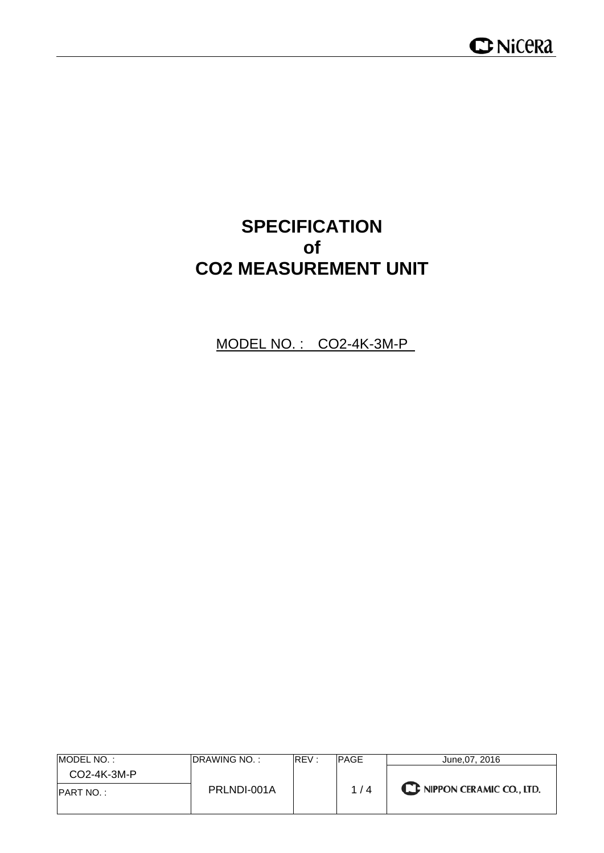## **SPECIFICATION of CO2 MEASUREMENT UNIT**

MODEL NO. : CO2-4K-3M-P

| IMODEL NO. :      | IDRAWING NO. : | RFV: | <b>IPAGE</b> | June.07, 2016                      |
|-------------------|----------------|------|--------------|------------------------------------|
| $CO2-4K-3M-P$     |                |      |              |                                    |
| <b>IPART NO.:</b> | PRLNDI-001A    |      | 1/4          | <b>CE NIPPON CERAMIC CO., LTD.</b> |
|                   |                |      |              |                                    |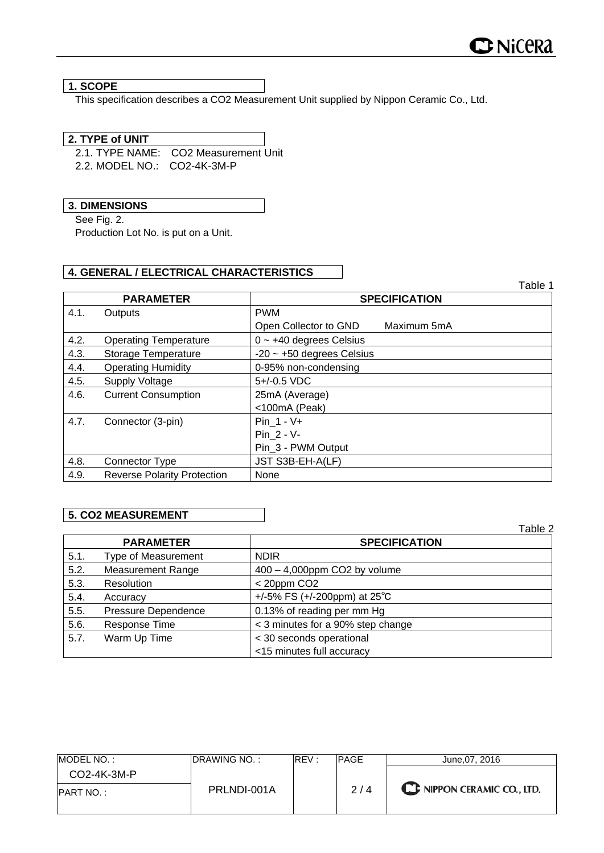#### **1. SCOPE**

This specification describes a CO2 Measurement Unit supplied by Nippon Ceramic Co., Ltd.

#### **2. TYPE of UNIT**

2.1. TYPE NAME: CO2 Measurement Unit 2.2. MODEL NO.: CO2-4K-3M-P

**3. DIMENSIONS**

See Fig. 2.

Production Lot No. is put on a Unit.

#### **4. GENERAL / ELECTRICAL CHARACTERISTICS**

|      |                                    |                                      | Table 1 |  |  |  |
|------|------------------------------------|--------------------------------------|---------|--|--|--|
|      | <b>PARAMETER</b>                   | <b>SPECIFICATION</b>                 |         |  |  |  |
| 4.1. | Outputs                            | <b>PWM</b>                           |         |  |  |  |
|      |                                    | Open Collector to GND<br>Maximum 5mA |         |  |  |  |
| 4.2. | <b>Operating Temperature</b>       | $0 \sim +40$ degrees Celsius         |         |  |  |  |
| 4.3. | Storage Temperature                | $-20$ ~ $+50$ degrees Celsius        |         |  |  |  |
| 4.4. | <b>Operating Humidity</b>          | 0-95% non-condensing                 |         |  |  |  |
| 4.5. | <b>Supply Voltage</b>              | 5+/-0.5 VDC                          |         |  |  |  |
| 4.6. | <b>Current Consumption</b>         | 25mA (Average)                       |         |  |  |  |
|      |                                    | <100mA (Peak)                        |         |  |  |  |
| 4.7. | Connector (3-pin)                  | Pin $1 - V +$                        |         |  |  |  |
|      |                                    | Pin 2 - V-                           |         |  |  |  |
|      |                                    | Pin 3 - PWM Output                   |         |  |  |  |
| 4.8. | Connector Type                     | JST S3B-EH-A(LF)                     |         |  |  |  |
| 4.9. | <b>Reverse Polarity Protection</b> | None                                 |         |  |  |  |

#### **5. CO2 MEASUREMENT**

|      |                            |                                        | Table 2 |
|------|----------------------------|----------------------------------------|---------|
|      | <b>PARAMETER</b>           | <b>SPECIFICATION</b>                   |         |
| 5.1. | <b>Type of Measurement</b> | <b>NDIR</b>                            |         |
| 5.2. | <b>Measurement Range</b>   | $400 - 4,000$ ppm CO2 by volume        |         |
| 5.3. | Resolution                 | $<$ 20ppm CO2                          |         |
| 5.4. | Accuracy                   | +/-5% FS (+/-200ppm) at $25^{\circ}$ C |         |
| 5.5. | Pressure Dependence        | 0.13% of reading per mm Hg             |         |
| 5.6. | Response Time              | < 3 minutes for a 90% step change      |         |
| 5.7. | Warm Up Time               | < 30 seconds operational               |         |
|      |                            | <15 minutes full accuracy              |         |

| MODEL NO.:       | IDRAWING NO. : | REV: | PAGE | June.07, 2016            |
|------------------|----------------|------|------|--------------------------|
| $CO2-4K-3M-P$    |                |      |      |                          |
| <b>PART NO.:</b> | PRLNDI-001A    |      | 2/4  | NIPPON CERAMIC CO., LTD. |
|                  |                |      |      |                          |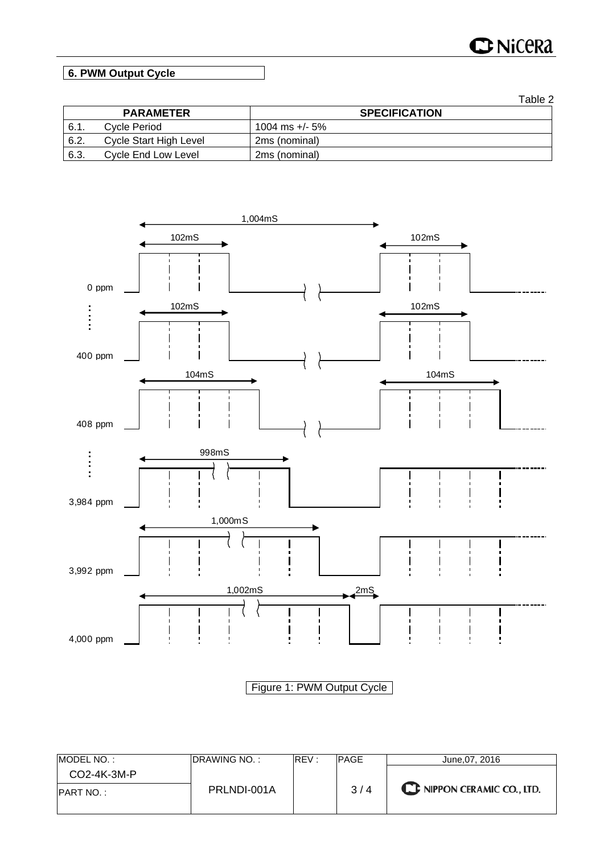# **C**NiCeRa

### **6. PWM Output Cycle**

|      |                        | Table 2              |
|------|------------------------|----------------------|
|      | <b>PARAMETER</b>       | <b>SPECIFICATION</b> |
| 6.1. | Cycle Period           | 1004 ms +/- 5%       |
| 6.2. | Cycle Start High Level | 2ms (nominal)        |
| 6.3. | Cycle End Low Level    | 2ms (nominal)        |



Figure 1: PWM Output Cycle

| MODEL NO.:       | <b>IDRAWING NO.:</b> | REV: | <b>PAGE</b> | June.07, 2016            |
|------------------|----------------------|------|-------------|--------------------------|
| $CO2-4K-3M-P$    |                      |      |             |                          |
| <b>PART NO.:</b> | PRLNDI-001A          |      | 3/4         | NIPPON CERAMIC CO., LTD. |
|                  |                      |      |             |                          |